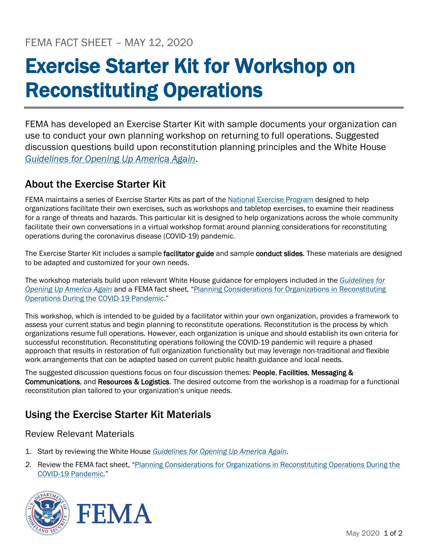# Exercise Starter Kit for Workshop on Reconstituting Operations

FEMA has developed an Exercise Starter Kit with sample documents your organization can use to conduct your own planning workshop on returning to full operations. Suggested discussion questions build upon reconstitution planning principles and the White House *[Guidelines for Opening Up America Again](https://www.whitehouse.gov/openingamerica/)*.

# About the Exercise Starter Kit

FEMA maintains a series of Exercise Starter Kits as part of the [National Exercise Program](http://www.fema.gov/nep) designed to help organizations facilitate their own exercises, such as workshops and tabletop exercises, to examine their readiness for a range of threats and hazards. This particular kit is designed to help organizations across the whole community facilitate their own conversations in a virtual workshop format around planning considerations for reconstituting operations during the coronavirus disease (COVID-19) pandemic.

The Exercise Starter Kit includes a sample facilitator guide and sample conduct slides. These materials are designed to be adapted and customized for your own needs.

The workshop materials build upon relevant White House guidance for employers included in the *[Guidelines for](http://www.whitehouse.gov/openingamerica/)  [Opening Up America Again](http://www.whitehouse.gov/openingamerica/)* and a FEMA fact sheet, ["Planning Considerations for Organizations in Reconstituting](http://www.fema.gov/coronavirus)  [Operations During the COVID-19 Pandemic.](http://www.fema.gov/coronavirus)"

This workshop, which is intended to be guided by a facilitator within your own organization, provides a framework to assess your current status and begin planning to reconstitute operations. Reconstitution is the process by which organizations resume full operations. However, each organization is unique and should establish its own criteria for successful reconstitution. Reconstituting operations following the COVID-19 pandemic will require a phased approach that results in restoration of full organization functionality but may leverage non-traditional and flexible work arrangements that can be adapted based on current public health guidance and local needs.

The suggested discussion questions focus on four discussion themes: People, Facilities, Messaging & Communications, and Resources & Logistics. The desired outcome from the workshop is a roadmap for a functional reconstitution plan tailored to your organization's unique needs.

# Using the Exercise Starter Kit Materials

# Review Relevant Materials

- 1. Start by reviewing the White House *[Guidelines for Opening Up America Again](http://www.whitehouse.gov/openingamerica/)*.
- *2.* Review the FEMA fact shee[t, "Planning Considerations for Organizations in Reconstituting Operations During the](https://www.fema.gov/news-release/2020/04/30/planning-considerations-organizations-reconstituting-operations-during-covid)  [COVID-19 Pandemic."](https://www.fema.gov/news-release/2020/04/30/planning-considerations-organizations-reconstituting-operations-during-covid)